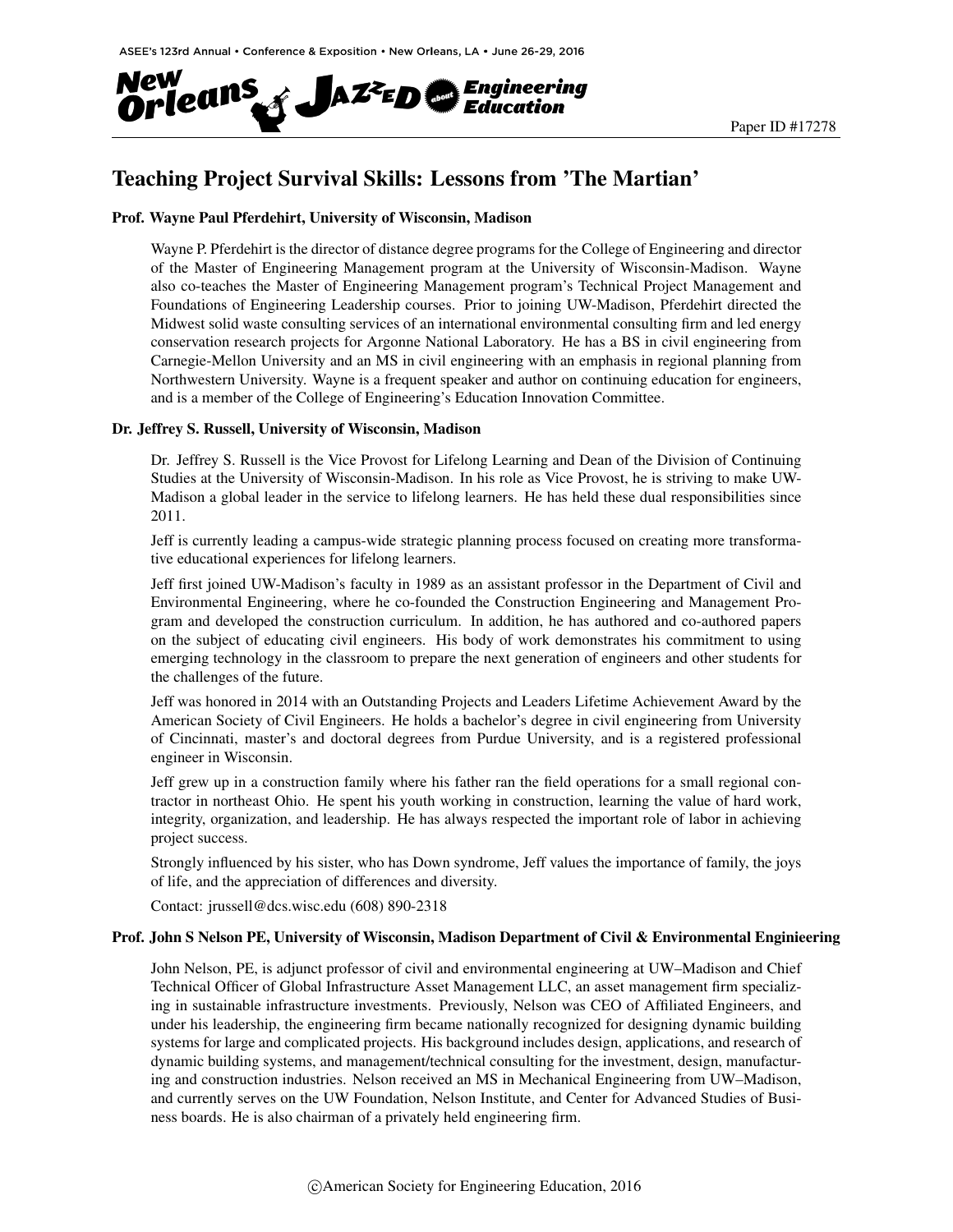

# Teaching Project Survival Skills: Lessons from 'The Martian'

#### Prof. Wayne Paul Pferdehirt, University of Wisconsin, Madison

Wayne P. Pferdehirt is the director of distance degree programs for the College of Engineering and director of the Master of Engineering Management program at the University of Wisconsin-Madison. Wayne also co-teaches the Master of Engineering Management program's Technical Project Management and Foundations of Engineering Leadership courses. Prior to joining UW-Madison, Pferdehirt directed the Midwest solid waste consulting services of an international environmental consulting firm and led energy conservation research projects for Argonne National Laboratory. He has a BS in civil engineering from Carnegie-Mellon University and an MS in civil engineering with an emphasis in regional planning from Northwestern University. Wayne is a frequent speaker and author on continuing education for engineers, and is a member of the College of Engineering's Education Innovation Committee.

#### Dr. Jeffrey S. Russell, University of Wisconsin, Madison

Dr. Jeffrey S. Russell is the Vice Provost for Lifelong Learning and Dean of the Division of Continuing Studies at the University of Wisconsin-Madison. In his role as Vice Provost, he is striving to make UW-Madison a global leader in the service to lifelong learners. He has held these dual responsibilities since 2011.

Jeff is currently leading a campus-wide strategic planning process focused on creating more transformative educational experiences for lifelong learners.

Jeff first joined UW-Madison's faculty in 1989 as an assistant professor in the Department of Civil and Environmental Engineering, where he co-founded the Construction Engineering and Management Program and developed the construction curriculum. In addition, he has authored and co-authored papers on the subject of educating civil engineers. His body of work demonstrates his commitment to using emerging technology in the classroom to prepare the next generation of engineers and other students for the challenges of the future.

Jeff was honored in 2014 with an Outstanding Projects and Leaders Lifetime Achievement Award by the American Society of Civil Engineers. He holds a bachelor's degree in civil engineering from University of Cincinnati, master's and doctoral degrees from Purdue University, and is a registered professional engineer in Wisconsin.

Jeff grew up in a construction family where his father ran the field operations for a small regional contractor in northeast Ohio. He spent his youth working in construction, learning the value of hard work, integrity, organization, and leadership. He has always respected the important role of labor in achieving project success.

Strongly influenced by his sister, who has Down syndrome, Jeff values the importance of family, the joys of life, and the appreciation of differences and diversity.

Contact: jrussell@dcs.wisc.edu (608) 890-2318

#### Prof. John S Nelson PE, University of Wisconsin, Madison Department of Civil & Environmental Enginieering

John Nelson, PE, is adjunct professor of civil and environmental engineering at UW–Madison and Chief Technical Officer of Global Infrastructure Asset Management LLC, an asset management firm specializing in sustainable infrastructure investments. Previously, Nelson was CEO of Affiliated Engineers, and under his leadership, the engineering firm became nationally recognized for designing dynamic building systems for large and complicated projects. His background includes design, applications, and research of dynamic building systems, and management/technical consulting for the investment, design, manufacturing and construction industries. Nelson received an MS in Mechanical Engineering from UW–Madison, and currently serves on the UW Foundation, Nelson Institute, and Center for Advanced Studies of Business boards. He is also chairman of a privately held engineering firm.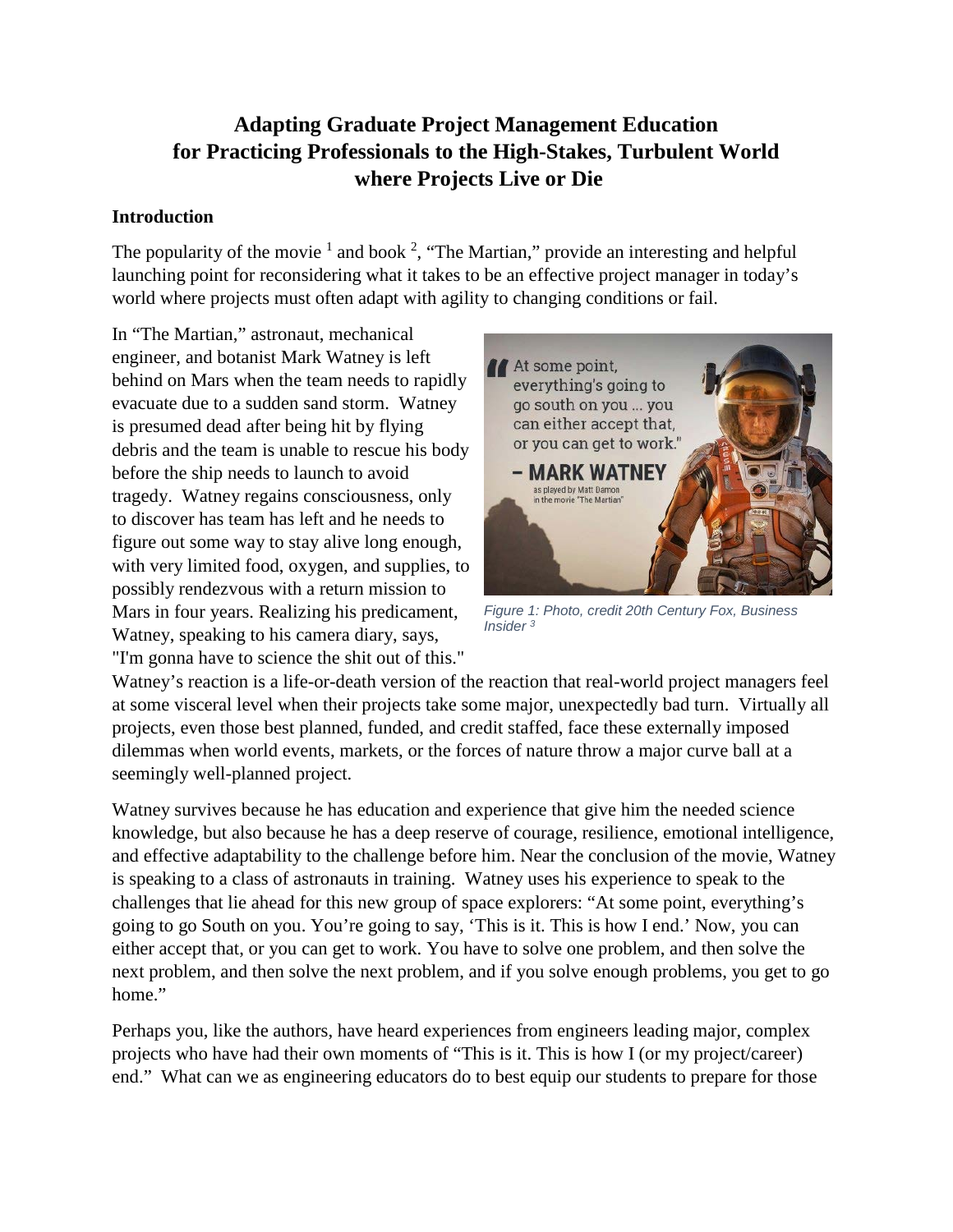# **Adapting Graduate Project Management Education for Practicing Professionals to the High-Stakes, Turbulent World where Projects Live or Die**

#### **Introduction**

The popularity of the movie  $<sup>1</sup>$  and book  $<sup>2</sup>$ , "The Martian," provide an interesting and helpful</sup></sup> launching point for reconsidering what it takes to be an effective project manager in today's world where projects must often adapt with agility to changing conditions or fail.

In "The Martian," astronaut, mechanical engineer, and botanist Mark Watney is left behind on Mars when the team needs to rapidly evacuate due to a sudden sand storm. Watney is presumed dead after being hit by flying debris and the team is unable to rescue his body before the ship needs to launch to avoid tragedy. Watney regains consciousness, only to discover has team has left and he needs to figure out some way to stay alive long enough, with very limited food, oxygen, and supplies, to possibly rendezvous with a return mission to Mars in four years. Realizing his predicament, Watney, speaking to his camera diary, says, "I'm gonna have to science the shit out of this."



*Figure 1: Photo, credit 20th Century Fox, Business Insider 3*

Watney's reaction is a life-or-death version of the reaction that real-world project managers feel at some visceral level when their projects take some major, unexpectedly bad turn. Virtually all projects, even those best planned, funded, and credit staffed, face these externally imposed dilemmas when world events, markets, or the forces of nature throw a major curve ball at a seemingly well-planned project.

Watney survives because he has education and experience that give him the needed science knowledge, but also because he has a deep reserve of courage, resilience, emotional intelligence, and effective adaptability to the challenge before him. Near the conclusion of the movie, Watney is speaking to a class of astronauts in training. Watney uses his experience to speak to the challenges that lie ahead for this new group of space explorers: "At some point, everything's going to go South on you. You're going to say, 'This is it. This is how I end.' Now, you can either accept that, or you can get to work. You have to solve one problem, and then solve the next problem, and then solve the next problem, and if you solve enough problems, you get to go home."

Perhaps you, like the authors, have heard experiences from engineers leading major, complex projects who have had their own moments of "This is it. This is how I (or my project/career) end." What can we as engineering educators do to best equip our students to prepare for those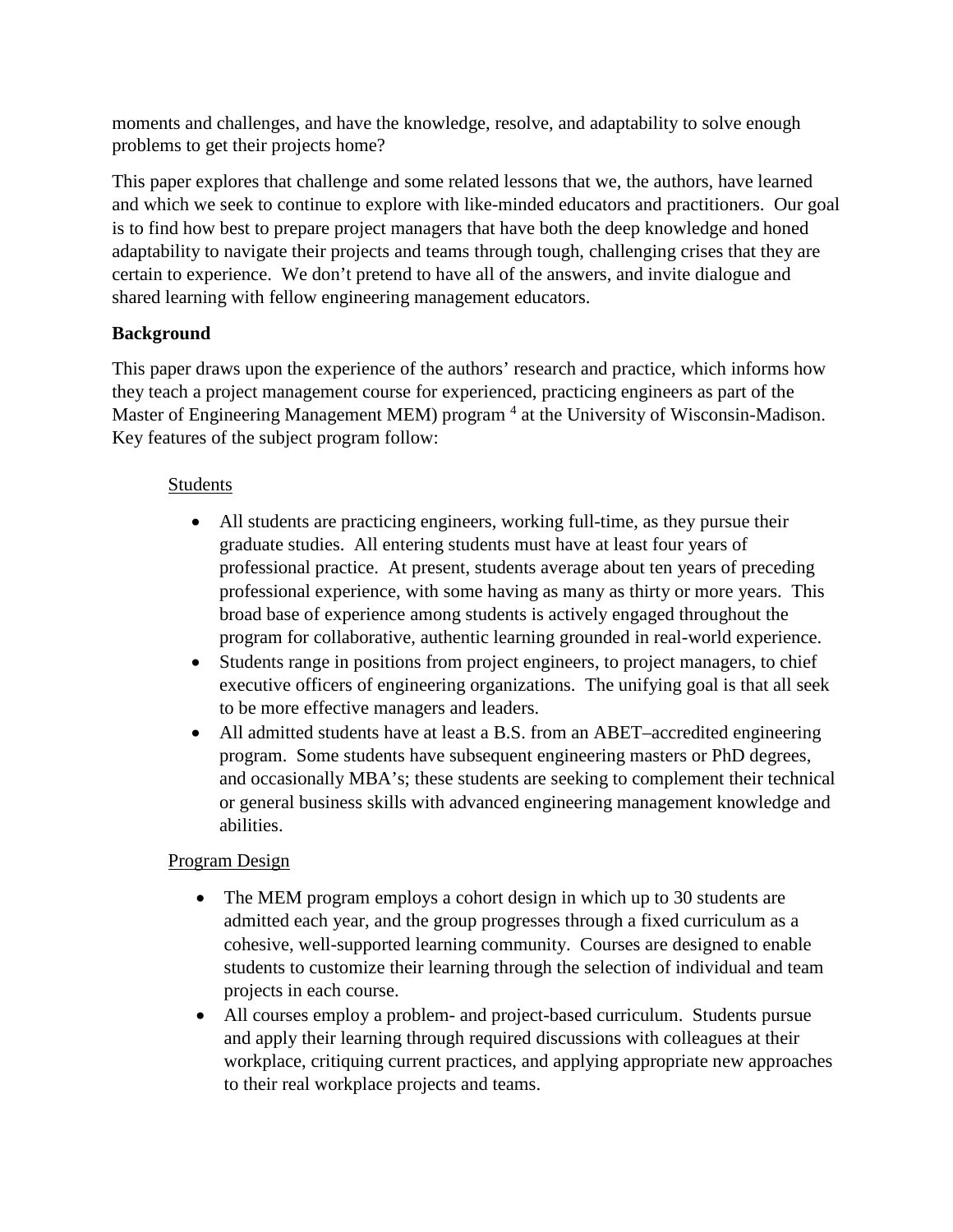moments and challenges, and have the knowledge, resolve, and adaptability to solve enough problems to get their projects home?

This paper explores that challenge and some related lessons that we, the authors, have learned and which we seek to continue to explore with like-minded educators and practitioners. Our goal is to find how best to prepare project managers that have both the deep knowledge and honed adaptability to navigate their projects and teams through tough, challenging crises that they are certain to experience. We don't pretend to have all of the answers, and invite dialogue and shared learning with fellow engineering management educators.

# **Background**

This paper draws upon the experience of the authors' research and practice, which informs how they teach a project management course for experienced, practicing engineers as part of the Master of Engineering Management MEM) program<sup>4</sup> at the University of Wisconsin-Madison. Key features of the subject program follow:

# Students

- All students are practicing engineers, working full-time, as they pursue their graduate studies. All entering students must have at least four years of professional practice. At present, students average about ten years of preceding professional experience, with some having as many as thirty or more years. This broad base of experience among students is actively engaged throughout the program for collaborative, authentic learning grounded in real-world experience.
- Students range in positions from project engineers, to project managers, to chief executive officers of engineering organizations. The unifying goal is that all seek to be more effective managers and leaders.
- All admitted students have at least a B.S. from an ABET–accredited engineering program. Some students have subsequent engineering masters or PhD degrees, and occasionally MBA's; these students are seeking to complement their technical or general business skills with advanced engineering management knowledge and abilities.

# Program Design

- The MEM program employs a cohort design in which up to 30 students are admitted each year, and the group progresses through a fixed curriculum as a cohesive, well-supported learning community. Courses are designed to enable students to customize their learning through the selection of individual and team projects in each course.
- All courses employ a problem- and project-based curriculum. Students pursue and apply their learning through required discussions with colleagues at their workplace, critiquing current practices, and applying appropriate new approaches to their real workplace projects and teams.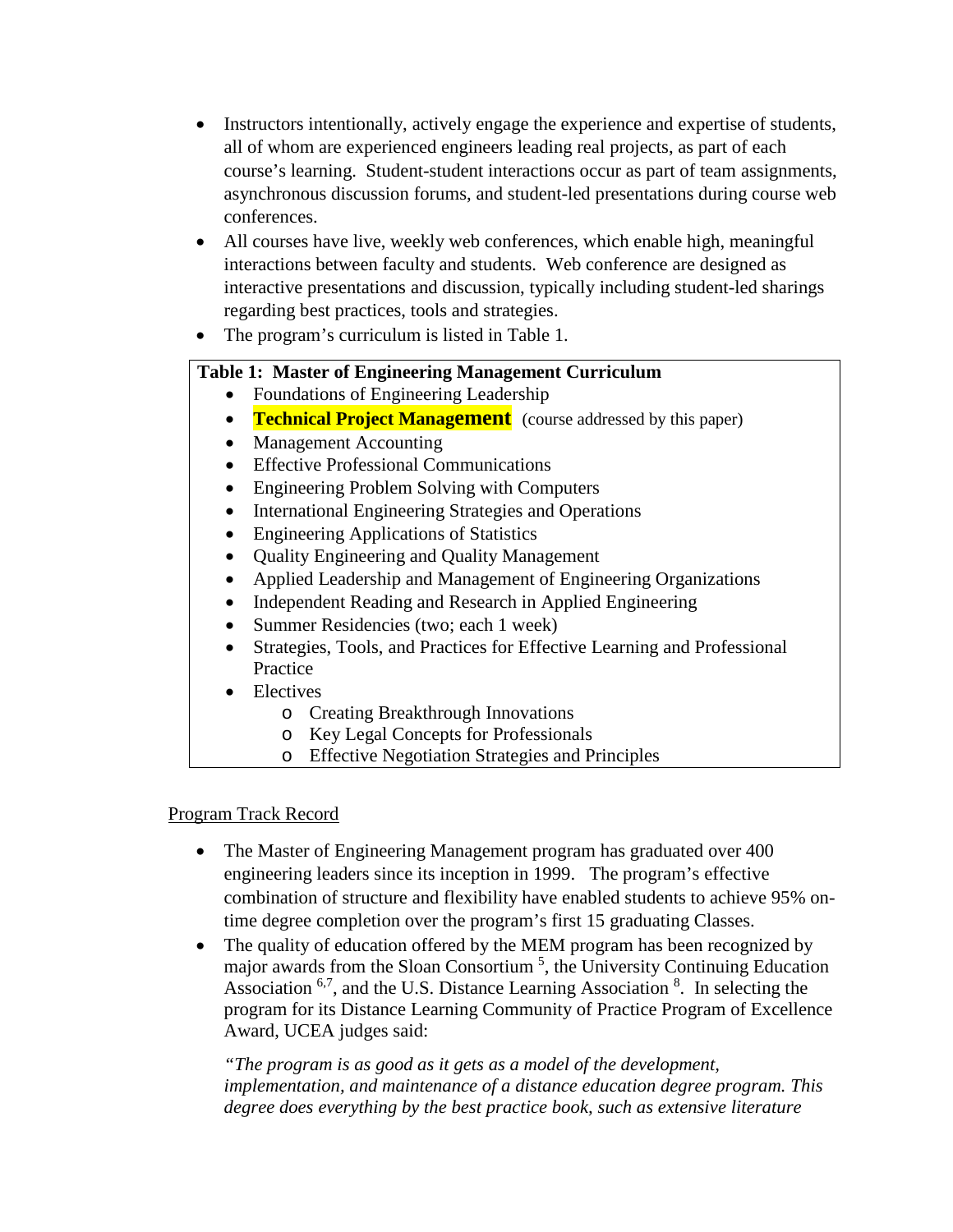- Instructors intentionally, actively engage the experience and expertise of students, all of whom are experienced engineers leading real projects, as part of each course's learning. Student-student interactions occur as part of team assignments, asynchronous discussion forums, and student-led presentations during course web conferences.
- All courses have live, weekly web conferences, which enable high, meaningful interactions between faculty and students. Web conference are designed as interactive presentations and discussion, typically including student-led sharings regarding best practices, tools and strategies.
- The program's curriculum is listed in Table 1.

## **Table 1: Master of Engineering Management Curriculum**

- Foundations of Engineering Leadership
- **Technical Project Management** (course addressed by this paper)
- Management Accounting
- Effective Professional Communications
- Engineering Problem Solving with Computers
- International Engineering Strategies and Operations
- Engineering Applications of Statistics
- Quality Engineering and Quality Management
- Applied Leadership and Management of Engineering Organizations
- Independent Reading and Research in Applied Engineering
- Summer Residencies (two; each 1 week)
- Strategies, Tools, and Practices for Effective Learning and Professional Practice
- **Electives** 
	- o Creating Breakthrough Innovations
	- o Key Legal Concepts for Professionals
	- o Effective Negotiation Strategies and Principles

### Program Track Record

- The Master of Engineering Management program has graduated over 400 engineering leaders since its inception in 1999. The program's effective combination of structure and flexibility have enabled students to achieve 95% ontime degree completion over the program's first 15 graduating Classes.
- The quality of education offered by the MEM program has been recognized by major awards from the Sloan Consortium<sup>5</sup>, the University Continuing Education Association  $6.7$ , and the U.S. Distance Learning Association  $8$ . In selecting the program for its Distance Learning Community of Practice Program of Excellence Award, UCEA judges said:

*"The program is as good as it gets as a model of the development, implementation, and maintenance of a distance education degree program. This degree does everything by the best practice book, such as extensive literature*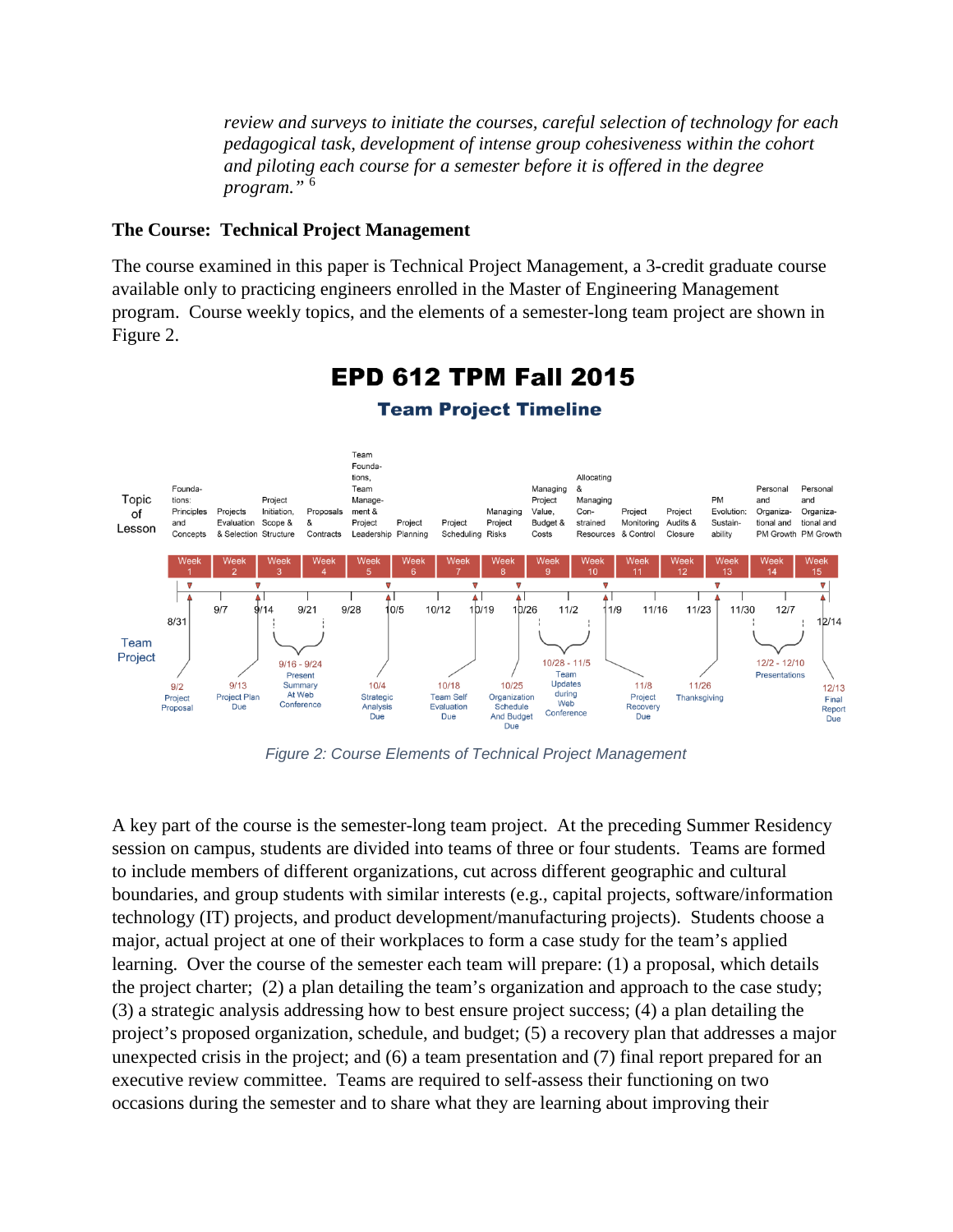*review and surveys to initiate the courses, careful selection of technology for each pedagogical task, development of intense group cohesiveness within the cohort and piloting each course for a semester before it is offered in the degree program."* <sup>6</sup>

#### **The Course: Technical Project Management**

The course examined in this paper is Technical Project Management, a 3-credit graduate course available only to practicing engineers enrolled in the Master of Engineering Management program. Course weekly topics, and the elements of a semester-long team project are shown in Figure 2.



# **EPD 612 TPM Fall 2015**

**Team Project Timeline** 

*Figure 2: Course Elements of Technical Project Management*

A key part of the course is the semester-long team project. At the preceding Summer Residency session on campus, students are divided into teams of three or four students. Teams are formed to include members of different organizations, cut across different geographic and cultural boundaries, and group students with similar interests (e.g., capital projects, software/information technology (IT) projects, and product development/manufacturing projects). Students choose a major, actual project at one of their workplaces to form a case study for the team's applied learning. Over the course of the semester each team will prepare: (1) a proposal, which details the project charter; (2) a plan detailing the team's organization and approach to the case study; (3) a strategic analysis addressing how to best ensure project success; (4) a plan detailing the project's proposed organization, schedule, and budget; (5) a recovery plan that addresses a major unexpected crisis in the project; and (6) a team presentation and (7) final report prepared for an executive review committee. Teams are required to self-assess their functioning on two occasions during the semester and to share what they are learning about improving their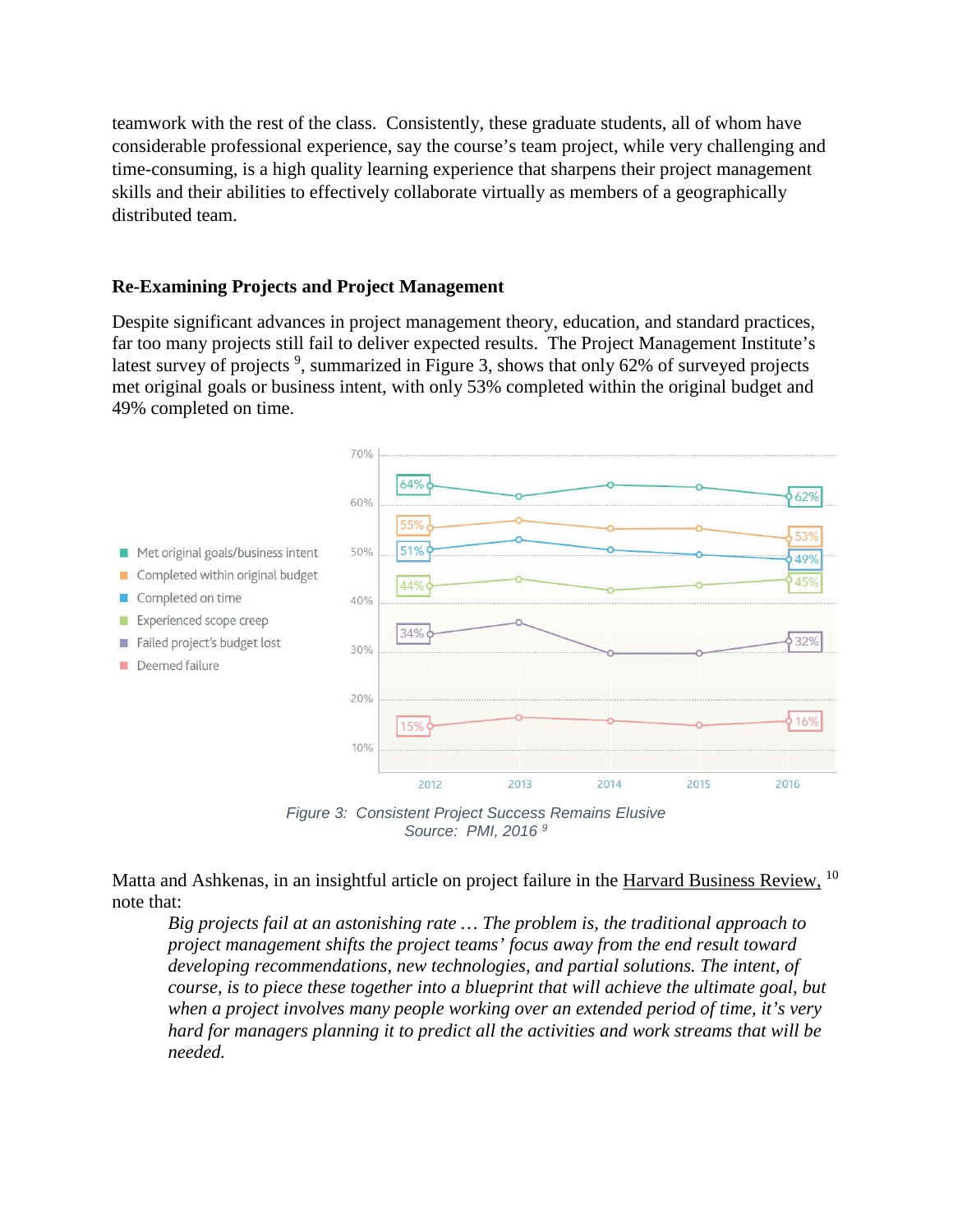teamwork with the rest of the class. Consistently, these graduate students, all of whom have considerable professional experience, say the course's team project, while very challenging and time-consuming, is a high quality learning experience that sharpens their project management skills and their abilities to effectively collaborate virtually as members of a geographically distributed team.

#### **Re-Examining Projects and Project Management**

Despite significant advances in project management theory, education, and standard practices, far too many projects still fail to deliver expected results. The Project Management Institute's latest survey of projects<sup>9</sup>, summarized in Figure 3, shows that only 62% of surveyed projects met original goals or business intent, with only 53% completed within the original budget and 49% completed on time.



*Figure 3: Consistent Project Success Remains Elusive Source: PMI, 2016 <sup>9</sup>*

Matta and Ashkenas, in an insightful article on project failure in the Harvard Business Review, <sup>10</sup> note that:

*Big projects fail at an astonishing rate … The problem is, the traditional approach to project management shifts the project teams' focus away from the end result toward developing recommendations, new technologies, and partial solutions. The intent, of course, is to piece these together into a blueprint that will achieve the ultimate goal, but when a project involves many people working over an extended period of time, it's very hard for managers planning it to predict all the activities and work streams that will be needed.*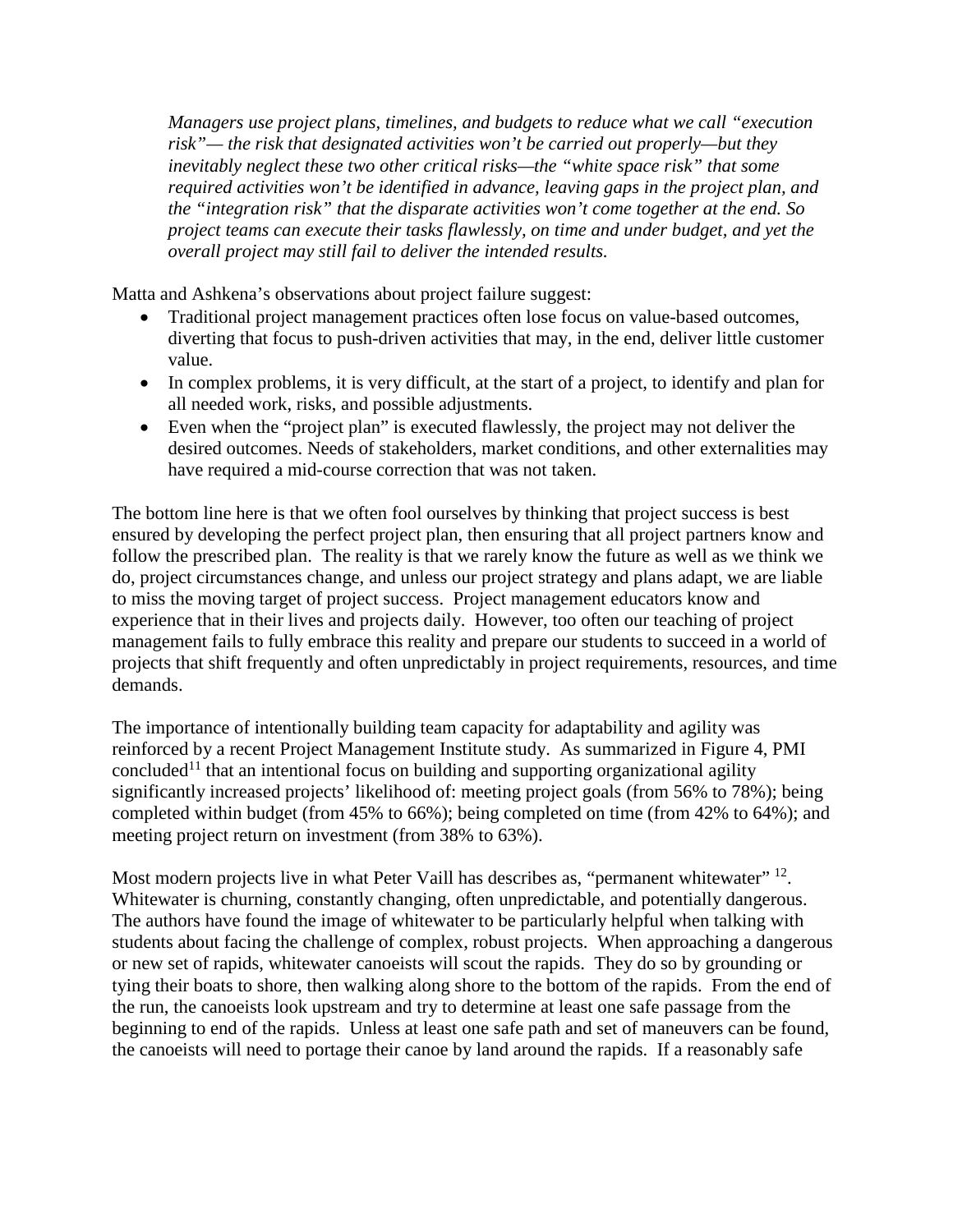*Managers use project plans, timelines, and budgets to reduce what we call "execution risk"— the risk that designated activities won't be carried out properly—but they inevitably neglect these two other critical risks—the "white space risk" that some required activities won't be identified in advance, leaving gaps in the project plan, and the "integration risk" that the disparate activities won't come together at the end. So project teams can execute their tasks flawlessly, on time and under budget, and yet the overall project may still fail to deliver the intended results.*

Matta and Ashkena's observations about project failure suggest:

- Traditional project management practices often lose focus on value-based outcomes, diverting that focus to push-driven activities that may, in the end, deliver little customer value.
- In complex problems, it is very difficult, at the start of a project, to identify and plan for all needed work, risks, and possible adjustments.
- Even when the "project plan" is executed flawlessly, the project may not deliver the desired outcomes. Needs of stakeholders, market conditions, and other externalities may have required a mid-course correction that was not taken.

The bottom line here is that we often fool ourselves by thinking that project success is best ensured by developing the perfect project plan, then ensuring that all project partners know and follow the prescribed plan. The reality is that we rarely know the future as well as we think we do, project circumstances change, and unless our project strategy and plans adapt, we are liable to miss the moving target of project success. Project management educators know and experience that in their lives and projects daily. However, too often our teaching of project management fails to fully embrace this reality and prepare our students to succeed in a world of projects that shift frequently and often unpredictably in project requirements, resources, and time demands.

The importance of intentionally building team capacity for adaptability and agility was reinforced by a recent Project Management Institute study. As summarized in Figure 4, PMI concluded<sup>11</sup> that an intentional focus on building and supporting organizational agility significantly increased projects' likelihood of: meeting project goals (from 56% to 78%); being completed within budget (from 45% to 66%); being completed on time (from 42% to 64%); and meeting project return on investment (from 38% to 63%).

Most modern projects live in what Peter Vaill has describes as, "permanent whitewater" <sup>12</sup>. Whitewater is churning, constantly changing, often unpredictable, and potentially dangerous. The authors have found the image of whitewater to be particularly helpful when talking with students about facing the challenge of complex, robust projects. When approaching a dangerous or new set of rapids, whitewater canoeists will scout the rapids. They do so by grounding or tying their boats to shore, then walking along shore to the bottom of the rapids. From the end of the run, the canoeists look upstream and try to determine at least one safe passage from the beginning to end of the rapids. Unless at least one safe path and set of maneuvers can be found, the canoeists will need to portage their canoe by land around the rapids. If a reasonably safe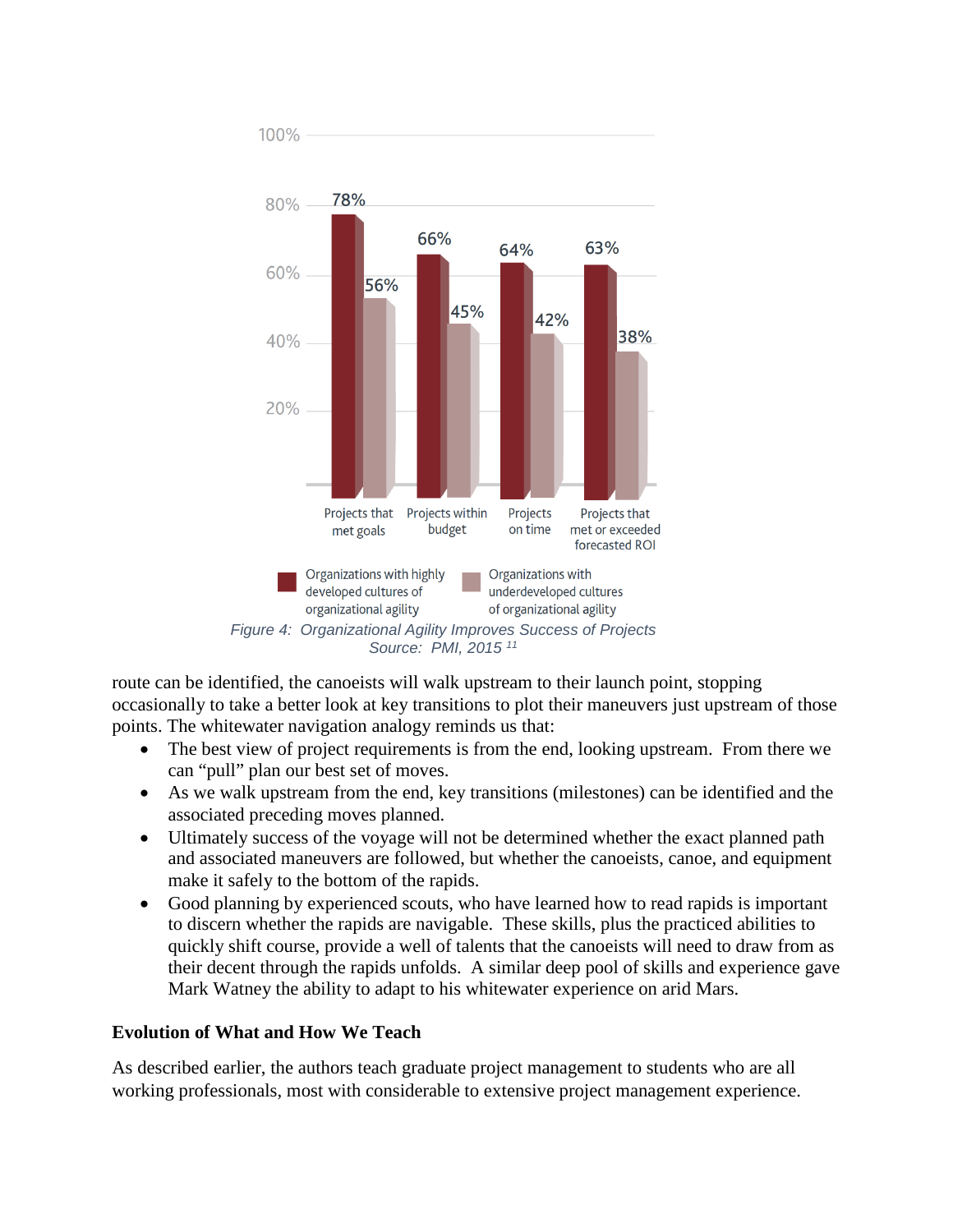

route can be identified, the canoeists will walk upstream to their launch point, stopping occasionally to take a better look at key transitions to plot their maneuvers just upstream of those points. The whitewater navigation analogy reminds us that:

- The best view of project requirements is from the end, looking upstream. From there we can "pull" plan our best set of moves.
- As we walk upstream from the end, key transitions (milestones) can be identified and the associated preceding moves planned.
- Ultimately success of the voyage will not be determined whether the exact planned path and associated maneuvers are followed, but whether the canoeists, canoe, and equipment make it safely to the bottom of the rapids.
- Good planning by experienced scouts, who have learned how to read rapids is important to discern whether the rapids are navigable. These skills, plus the practiced abilities to quickly shift course, provide a well of talents that the canoeists will need to draw from as their decent through the rapids unfolds. A similar deep pool of skills and experience gave Mark Watney the ability to adapt to his whitewater experience on arid Mars.

#### **Evolution of What and How We Teach**

As described earlier, the authors teach graduate project management to students who are all working professionals, most with considerable to extensive project management experience.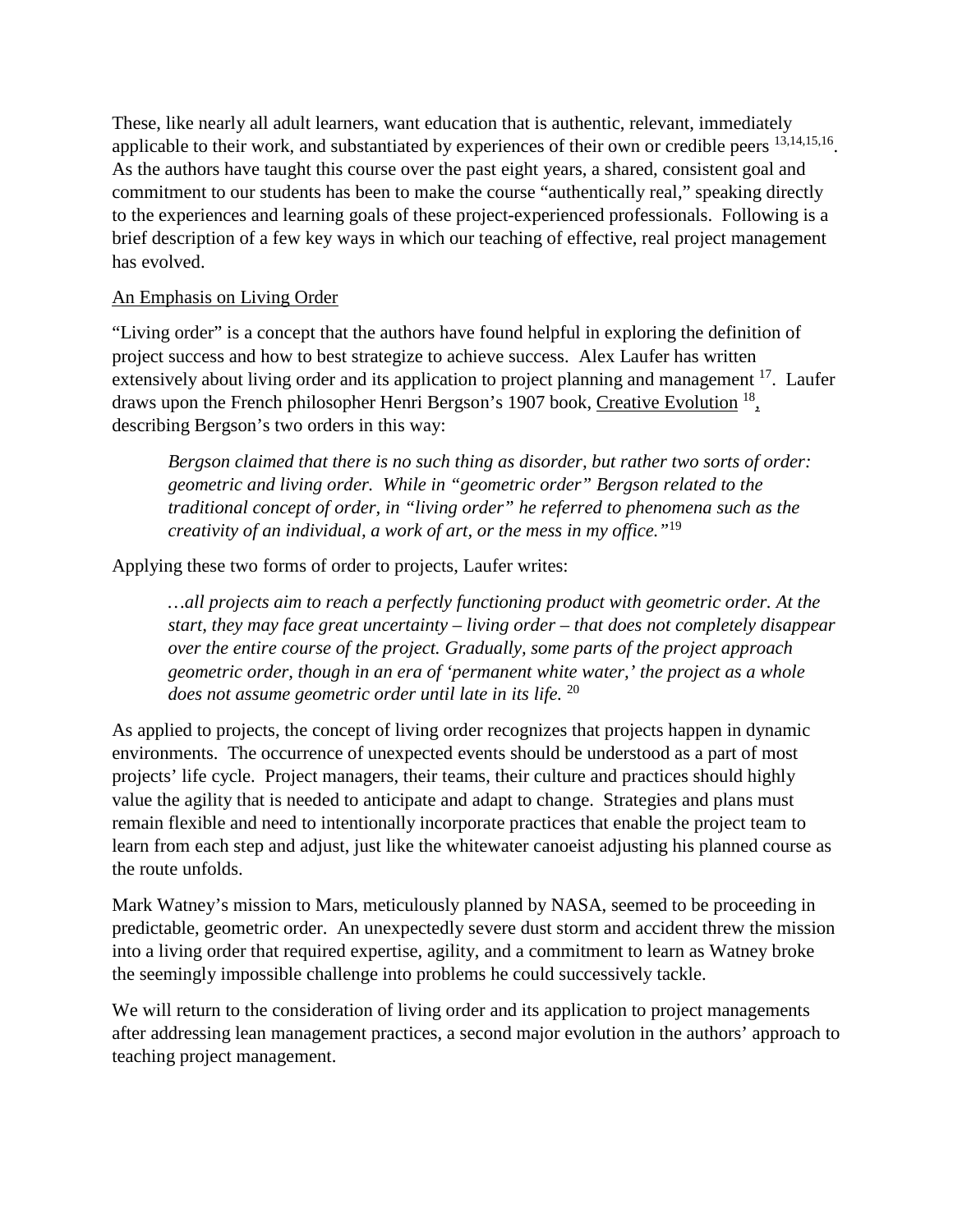These, like nearly all adult learners, want education that is authentic, relevant, immediately applicable to their work, and substantiated by experiences of their own or credible peers <sup>13,14,15,16</sup>. As the authors have taught this course over the past eight years, a shared, consistent goal and commitment to our students has been to make the course "authentically real," speaking directly to the experiences and learning goals of these project-experienced professionals. Following is a brief description of a few key ways in which our teaching of effective, real project management has evolved.

#### An Emphasis on Living Order

"Living order" is a concept that the authors have found helpful in exploring the definition of project success and how to best strategize to achieve success. Alex Laufer has written extensively about living order and its application to project planning and management <sup>17</sup>. Laufer draws upon the French philosopher Henri Bergson's 1907 book, Creative Evolution <sup>18</sup>, describing Bergson's two orders in this way:

*Bergson claimed that there is no such thing as disorder, but rather two sorts of order: geometric and living order. While in "geometric order" Bergson related to the traditional concept of order, in "living order" he referred to phenomena such as the creativity of an individual, a work of art, or the mess in my office."*<sup>19</sup>

Applying these two forms of order to projects, Laufer writes:

*…all projects aim to reach a perfectly functioning product with geometric order. At the start, they may face great uncertainty – living order – that does not completely disappear over the entire course of the project. Gradually, some parts of the project approach geometric order, though in an era of 'permanent white water,' the project as a whole does not assume geometric order until late in its life.* <sup>20</sup>

As applied to projects, the concept of living order recognizes that projects happen in dynamic environments. The occurrence of unexpected events should be understood as a part of most projects' life cycle. Project managers, their teams, their culture and practices should highly value the agility that is needed to anticipate and adapt to change. Strategies and plans must remain flexible and need to intentionally incorporate practices that enable the project team to learn from each step and adjust, just like the whitewater canoeist adjusting his planned course as the route unfolds.

Mark Watney's mission to Mars, meticulously planned by NASA, seemed to be proceeding in predictable, geometric order. An unexpectedly severe dust storm and accident threw the mission into a living order that required expertise, agility, and a commitment to learn as Watney broke the seemingly impossible challenge into problems he could successively tackle.

We will return to the consideration of living order and its application to project managements after addressing lean management practices, a second major evolution in the authors' approach to teaching project management.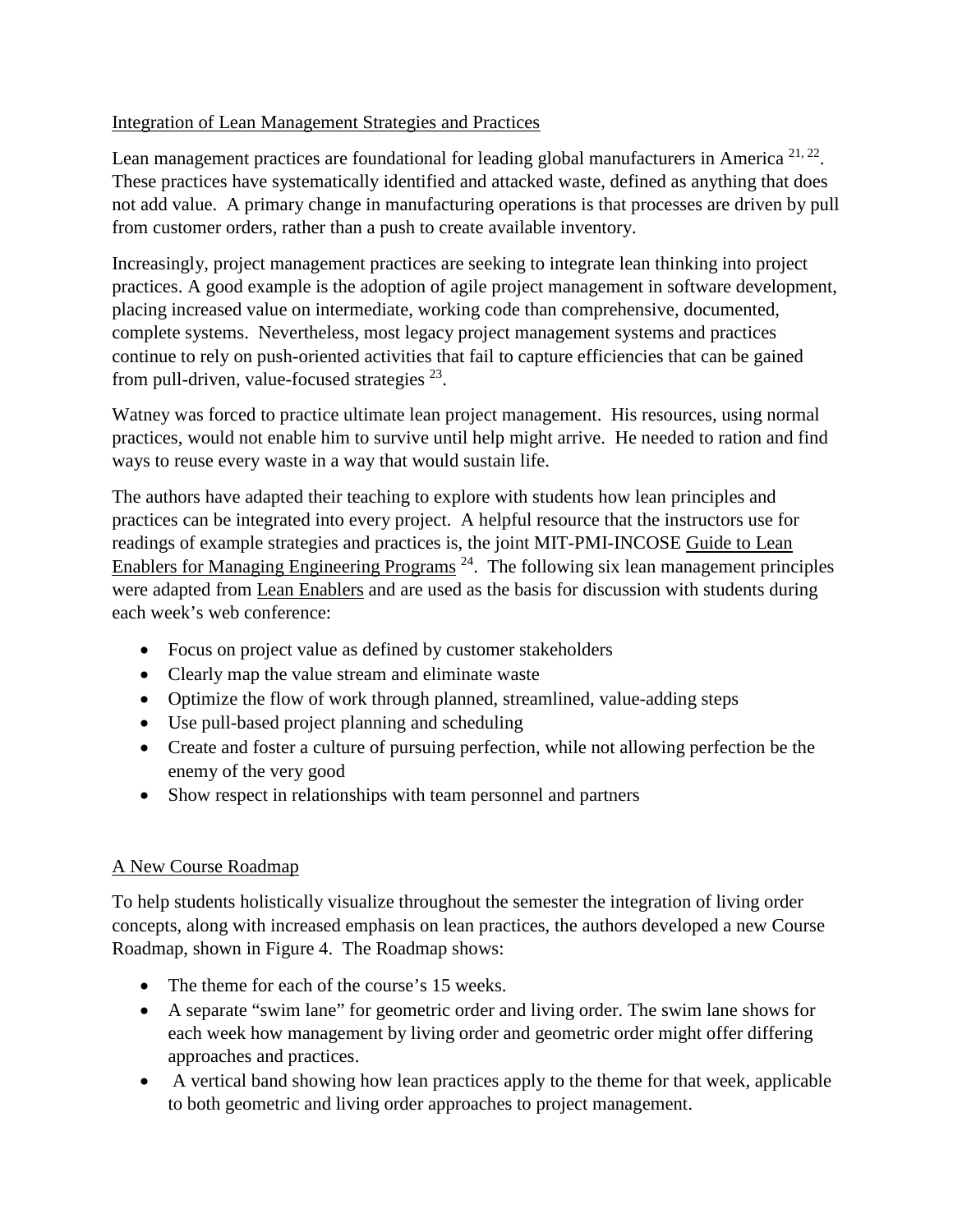## Integration of Lean Management Strategies and Practices

Lean management practices are foundational for leading global manufacturers in America  $21, 22$ . These practices have systematically identified and attacked waste, defined as anything that does not add value. A primary change in manufacturing operations is that processes are driven by pull from customer orders, rather than a push to create available inventory.

Increasingly, project management practices are seeking to integrate lean thinking into project practices. A good example is the adoption of agile project management in software development, placing increased value on intermediate, working code than comprehensive, documented, complete systems. Nevertheless, most legacy project management systems and practices continue to rely on push-oriented activities that fail to capture efficiencies that can be gained from pull-driven, value-focused strategies <sup>23</sup>.

Watney was forced to practice ultimate lean project management. His resources, using normal practices, would not enable him to survive until help might arrive. He needed to ration and find ways to reuse every waste in a way that would sustain life.

The authors have adapted their teaching to explore with students how lean principles and practices can be integrated into every project. A helpful resource that the instructors use for readings of example strategies and practices is, the joint MIT-PMI-INCOSE Guide to Lean Enablers for Managing Engineering Programs<sup>24</sup>. The following six lean management principles were adapted from Lean Enablers and are used as the basis for discussion with students during each week's web conference:

- Focus on project value as defined by customer stakeholders
- Clearly map the value stream and eliminate waste
- Optimize the flow of work through planned, streamlined, value-adding steps
- Use pull-based project planning and scheduling
- Create and foster a culture of pursuing perfection, while not allowing perfection be the enemy of the very good
- Show respect in relationships with team personnel and partners

# A New Course Roadmap

To help students holistically visualize throughout the semester the integration of living order concepts, along with increased emphasis on lean practices, the authors developed a new Course Roadmap, shown in Figure 4. The Roadmap shows:

- The theme for each of the course's 15 weeks.
- A separate "swim lane" for geometric order and living order. The swim lane shows for each week how management by living order and geometric order might offer differing approaches and practices.
- A vertical band showing how lean practices apply to the theme for that week, applicable to both geometric and living order approaches to project management.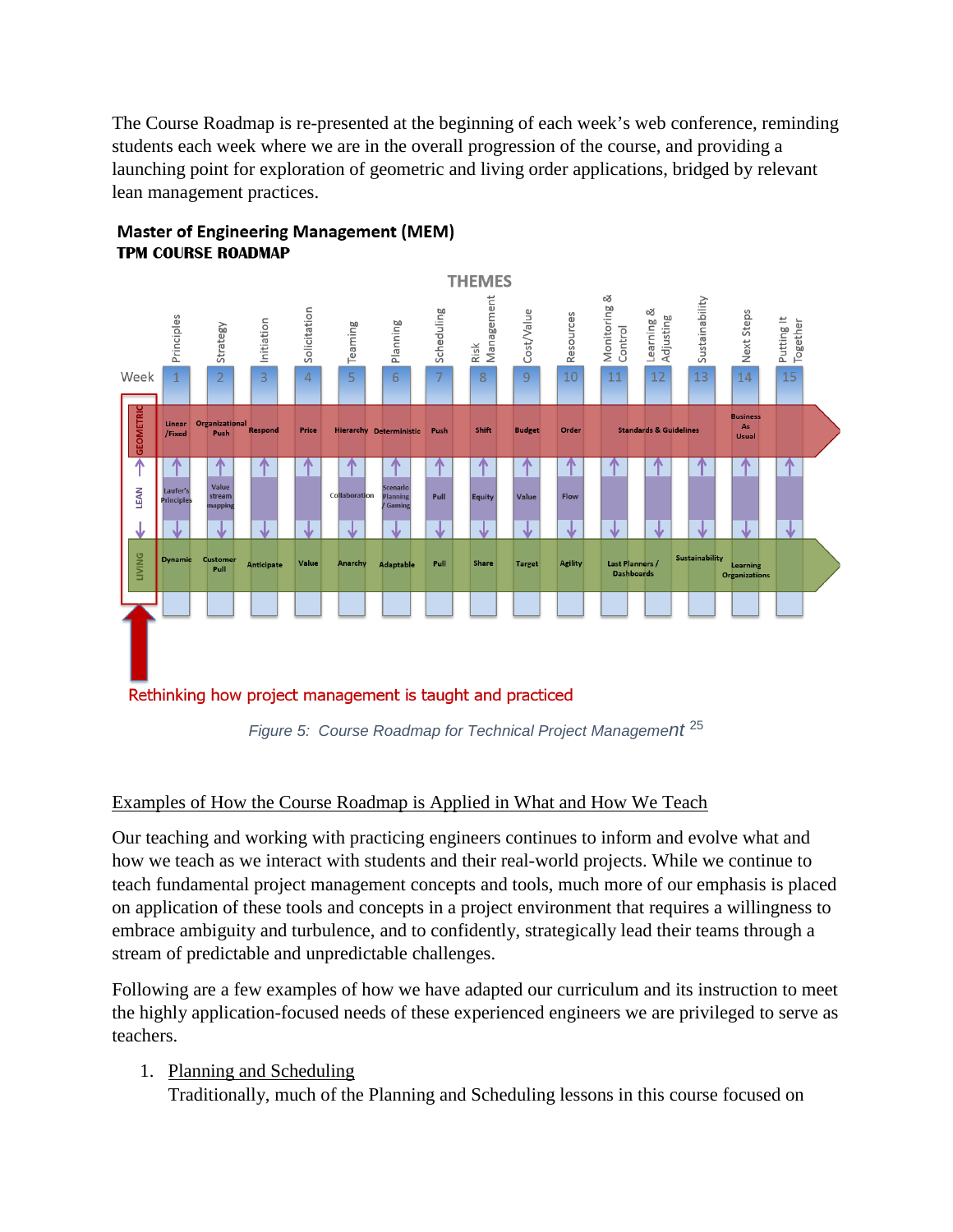The Course Roadmap is re-presented at the beginning of each week's web conference, reminding students each week where we are in the overall progression of the course, and providing a launching point for exploration of geometric and living order applications, bridged by relevant lean management practices.



# **Master of Engineering Management (MEM) TPM COURSE ROADMAP**

*Figure 5: Course Roadmap for Technical Project Management* <sup>25</sup>

# Examples of How the Course Roadmap is Applied in What and How We Teach

Our teaching and working with practicing engineers continues to inform and evolve what and how we teach as we interact with students and their real-world projects. While we continue to teach fundamental project management concepts and tools, much more of our emphasis is placed on application of these tools and concepts in a project environment that requires a willingness to embrace ambiguity and turbulence, and to confidently, strategically lead their teams through a stream of predictable and unpredictable challenges.

Following are a few examples of how we have adapted our curriculum and its instruction to meet the highly application-focused needs of these experienced engineers we are privileged to serve as teachers.

1. Planning and Scheduling

Traditionally, much of the Planning and Scheduling lessons in this course focused on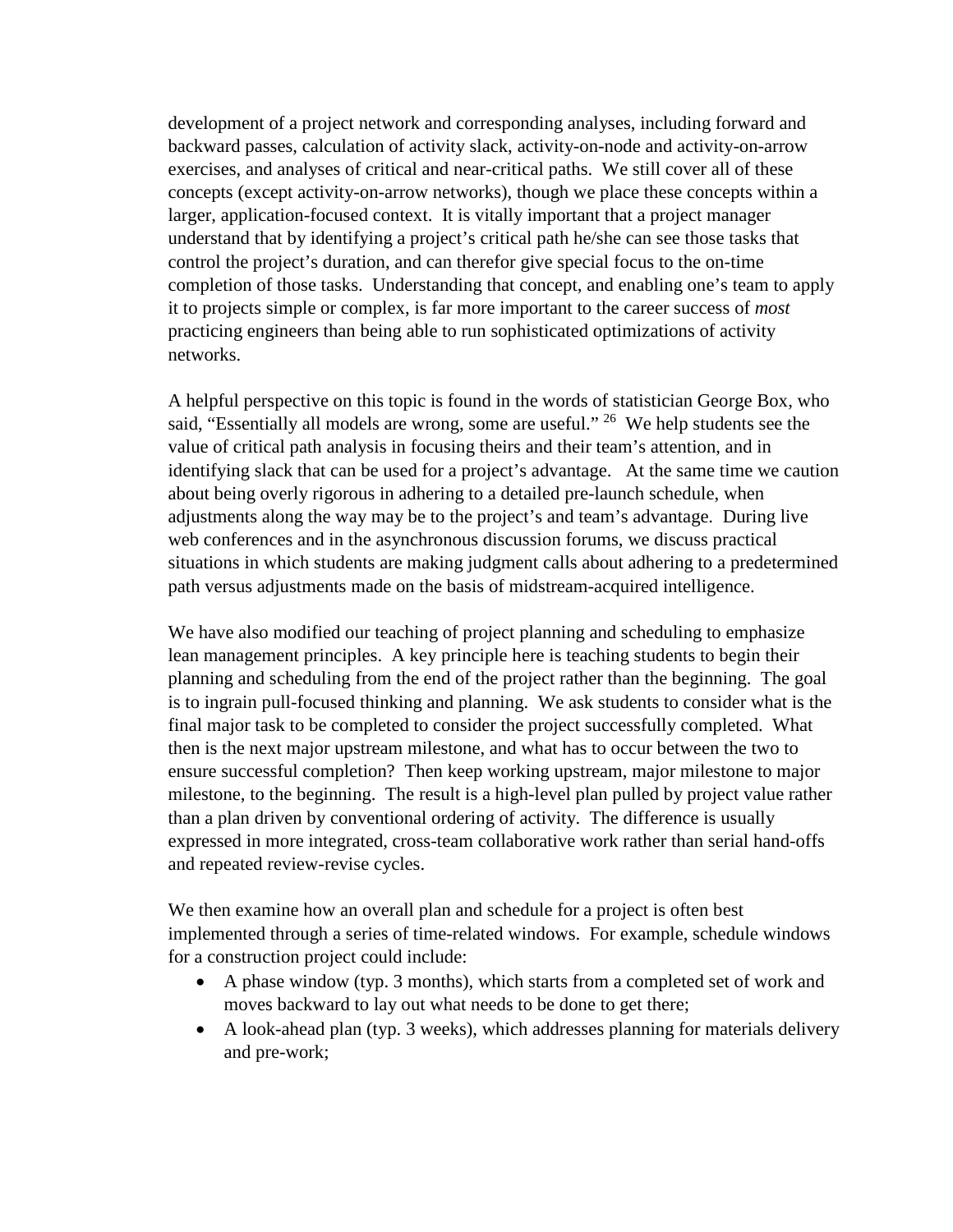development of a project network and corresponding analyses, including forward and backward passes, calculation of activity slack, activity-on-node and activity-on-arrow exercises, and analyses of critical and near-critical paths. We still cover all of these concepts (except activity-on-arrow networks), though we place these concepts within a larger, application-focused context. It is vitally important that a project manager understand that by identifying a project's critical path he/she can see those tasks that control the project's duration, and can therefor give special focus to the on-time completion of those tasks. Understanding that concept, and enabling one's team to apply it to projects simple or complex, is far more important to the career success of *most* practicing engineers than being able to run sophisticated optimizations of activity networks.

A helpful perspective on this topic is found in the words of statistician George Box, who said, "Essentially all models are wrong, some are useful." <sup>26</sup> We help students see the value of critical path analysis in focusing theirs and their team's attention, and in identifying slack that can be used for a project's advantage. At the same time we caution about being overly rigorous in adhering to a detailed pre-launch schedule, when adjustments along the way may be to the project's and team's advantage. During live web conferences and in the asynchronous discussion forums, we discuss practical situations in which students are making judgment calls about adhering to a predetermined path versus adjustments made on the basis of midstream-acquired intelligence.

We have also modified our teaching of project planning and scheduling to emphasize lean management principles. A key principle here is teaching students to begin their planning and scheduling from the end of the project rather than the beginning. The goal is to ingrain pull-focused thinking and planning. We ask students to consider what is the final major task to be completed to consider the project successfully completed. What then is the next major upstream milestone, and what has to occur between the two to ensure successful completion? Then keep working upstream, major milestone to major milestone, to the beginning. The result is a high-level plan pulled by project value rather than a plan driven by conventional ordering of activity. The difference is usually expressed in more integrated, cross-team collaborative work rather than serial hand-offs and repeated review-revise cycles.

We then examine how an overall plan and schedule for a project is often best implemented through a series of time-related windows. For example, schedule windows for a construction project could include:

- A phase window (typ. 3 months), which starts from a completed set of work and moves backward to lay out what needs to be done to get there;
- A look-ahead plan (typ. 3 weeks), which addresses planning for materials delivery and pre-work;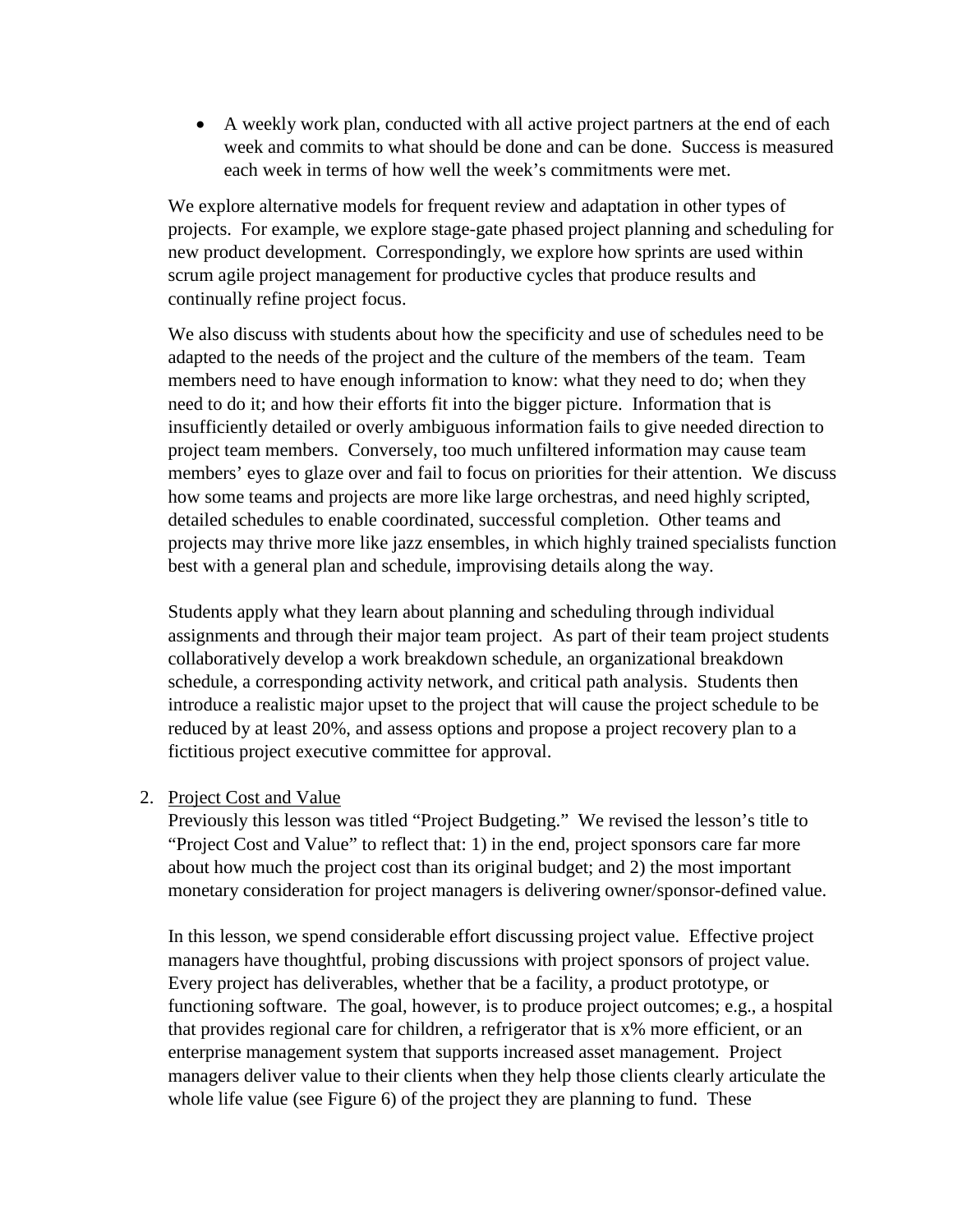• A weekly work plan, conducted with all active project partners at the end of each week and commits to what should be done and can be done. Success is measured each week in terms of how well the week's commitments were met.

We explore alternative models for frequent review and adaptation in other types of projects. For example, we explore stage-gate phased project planning and scheduling for new product development. Correspondingly, we explore how sprints are used within scrum agile project management for productive cycles that produce results and continually refine project focus.

We also discuss with students about how the specificity and use of schedules need to be adapted to the needs of the project and the culture of the members of the team. Team members need to have enough information to know: what they need to do; when they need to do it; and how their efforts fit into the bigger picture. Information that is insufficiently detailed or overly ambiguous information fails to give needed direction to project team members. Conversely, too much unfiltered information may cause team members' eyes to glaze over and fail to focus on priorities for their attention. We discuss how some teams and projects are more like large orchestras, and need highly scripted, detailed schedules to enable coordinated, successful completion. Other teams and projects may thrive more like jazz ensembles, in which highly trained specialists function best with a general plan and schedule, improvising details along the way.

Students apply what they learn about planning and scheduling through individual assignments and through their major team project. As part of their team project students collaboratively develop a work breakdown schedule, an organizational breakdown schedule, a corresponding activity network, and critical path analysis. Students then introduce a realistic major upset to the project that will cause the project schedule to be reduced by at least 20%, and assess options and propose a project recovery plan to a fictitious project executive committee for approval.

#### 2. Project Cost and Value

Previously this lesson was titled "Project Budgeting." We revised the lesson's title to "Project Cost and Value" to reflect that: 1) in the end, project sponsors care far more about how much the project cost than its original budget; and 2) the most important monetary consideration for project managers is delivering owner/sponsor-defined value.

In this lesson, we spend considerable effort discussing project value. Effective project managers have thoughtful, probing discussions with project sponsors of project value. Every project has deliverables, whether that be a facility, a product prototype, or functioning software. The goal, however, is to produce project outcomes; e.g., a hospital that provides regional care for children, a refrigerator that is x% more efficient, or an enterprise management system that supports increased asset management. Project managers deliver value to their clients when they help those clients clearly articulate the whole life value (see Figure 6) of the project they are planning to fund. These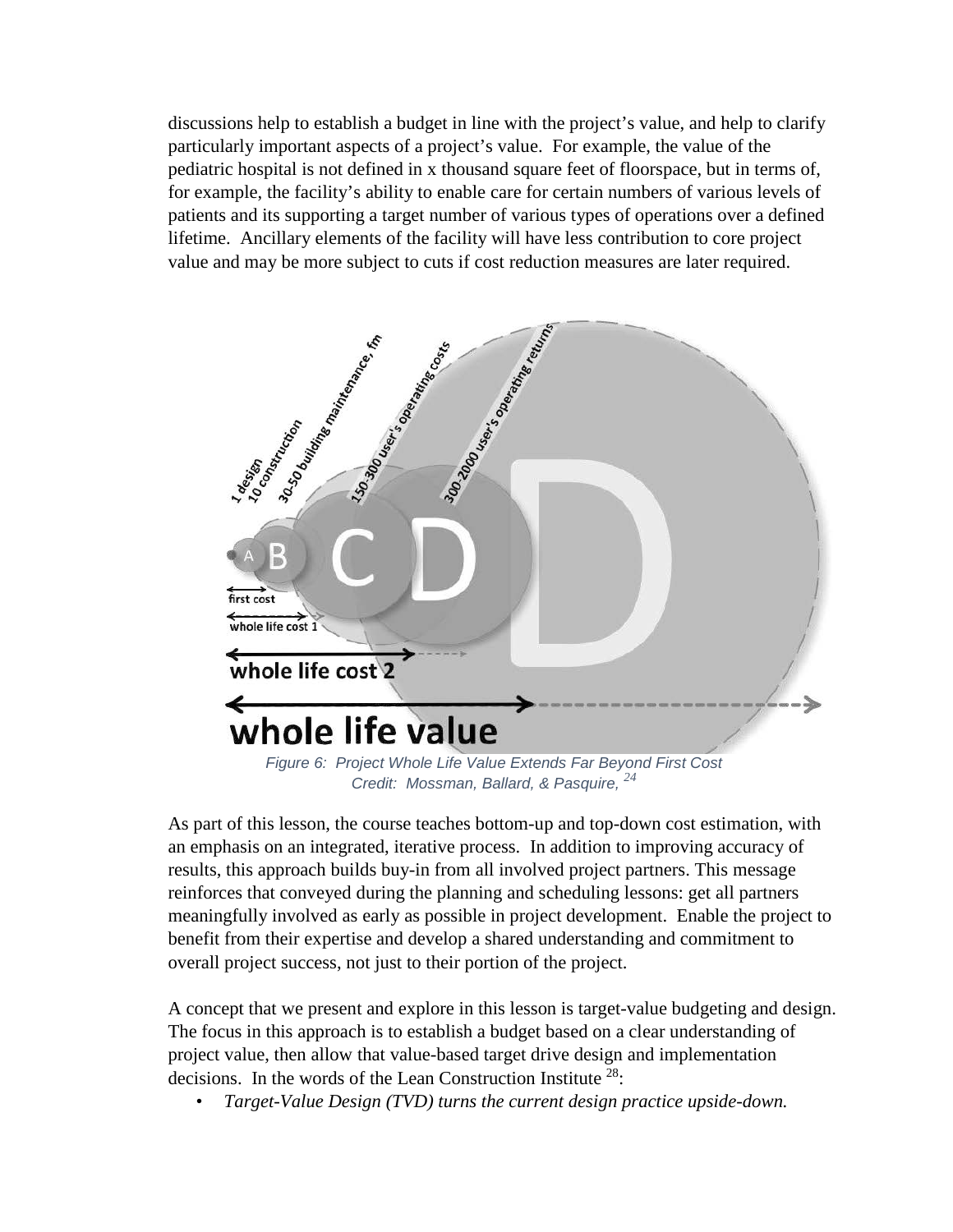discussions help to establish a budget in line with the project's value, and help to clarify particularly important aspects of a project's value. For example, the value of the pediatric hospital is not defined in x thousand square feet of floorspace, but in terms of, for example, the facility's ability to enable care for certain numbers of various levels of patients and its supporting a target number of various types of operations over a defined lifetime. Ancillary elements of the facility will have less contribution to core project value and may be more subject to cuts if cost reduction measures are later required.



*Credit: Mossman, Ballard, & Pasquire, <sup>24</sup>*

As part of this lesson, the course teaches bottom-up and top-down cost estimation, with an emphasis on an integrated, iterative process. In addition to improving accuracy of results, this approach builds buy-in from all involved project partners. This message reinforces that conveyed during the planning and scheduling lessons: get all partners meaningfully involved as early as possible in project development. Enable the project to benefit from their expertise and develop a shared understanding and commitment to overall project success, not just to their portion of the project.

A concept that we present and explore in this lesson is target-value budgeting and design. The focus in this approach is to establish a budget based on a clear understanding of project value, then allow that value-based target drive design and implementation decisions. In the words of the Lean Construction Institute  $28$ .

• *Target-Value Design (TVD) turns the current design practice upside-down.*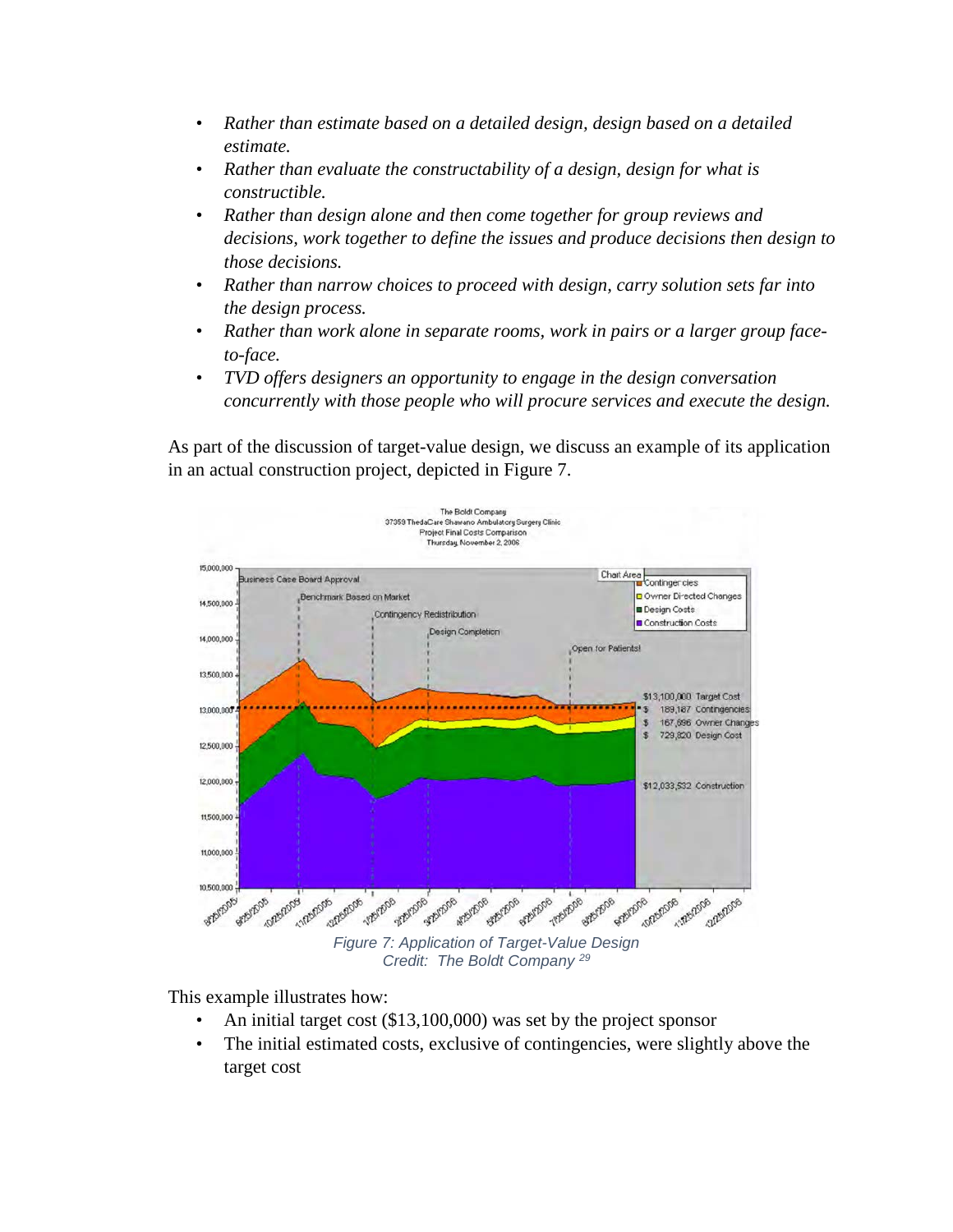- *Rather than estimate based on a detailed design, design based on a detailed estimate.*
- *Rather than evaluate the constructability of a design, design for what is constructible.*
- *Rather than design alone and then come together for group reviews and decisions, work together to define the issues and produce decisions then design to those decisions.*
- *Rather than narrow choices to proceed with design, carry solution sets far into the design process.*
- *Rather than work alone in separate rooms, work in pairs or a larger group faceto-face.*
- *TVD offers designers an opportunity to engage in the design conversation concurrently with those people who will procure services and execute the design.*

As part of the discussion of target-value design, we discuss an example of its application in an actual construction project, depicted in Figure 7.



*Credit: The Boldt Company <sup>29</sup>*

This example illustrates how:

- An initial target cost (\$13,100,000) was set by the project sponsor
- The initial estimated costs, exclusive of contingencies, were slightly above the target cost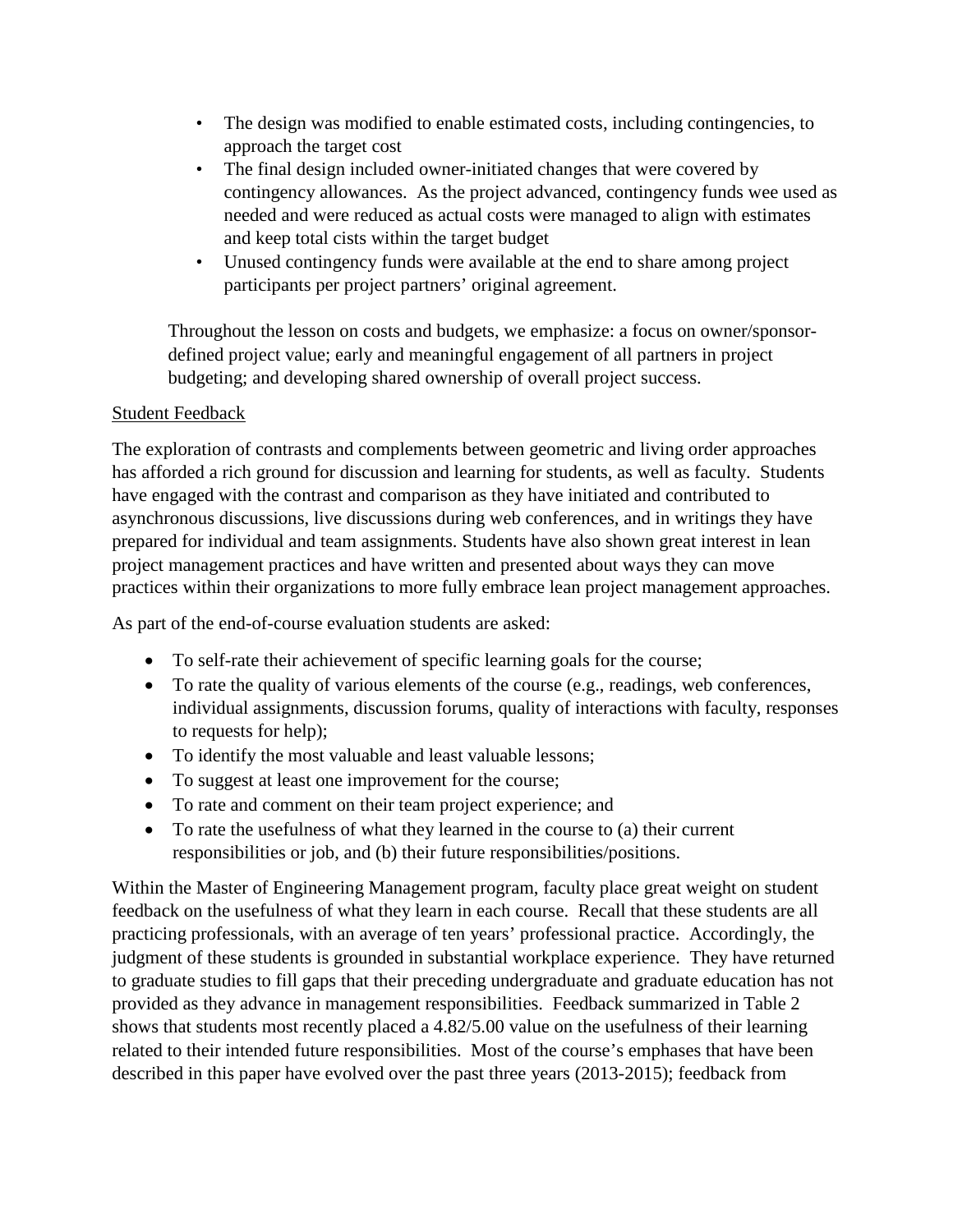- The design was modified to enable estimated costs, including contingencies, to approach the target cost
- The final design included owner-initiated changes that were covered by contingency allowances. As the project advanced, contingency funds wee used as needed and were reduced as actual costs were managed to align with estimates and keep total cists within the target budget
- Unused contingency funds were available at the end to share among project participants per project partners' original agreement.

Throughout the lesson on costs and budgets, we emphasize: a focus on owner/sponsordefined project value; early and meaningful engagement of all partners in project budgeting; and developing shared ownership of overall project success.

### Student Feedback

The exploration of contrasts and complements between geometric and living order approaches has afforded a rich ground for discussion and learning for students, as well as faculty. Students have engaged with the contrast and comparison as they have initiated and contributed to asynchronous discussions, live discussions during web conferences, and in writings they have prepared for individual and team assignments. Students have also shown great interest in lean project management practices and have written and presented about ways they can move practices within their organizations to more fully embrace lean project management approaches.

As part of the end-of-course evaluation students are asked:

- To self-rate their achievement of specific learning goals for the course;
- To rate the quality of various elements of the course (e.g., readings, web conferences, individual assignments, discussion forums, quality of interactions with faculty, responses to requests for help);
- To identify the most valuable and least valuable lessons;
- To suggest at least one improvement for the course;
- To rate and comment on their team project experience; and
- To rate the usefulness of what they learned in the course to (a) their current responsibilities or job, and (b) their future responsibilities/positions.

Within the Master of Engineering Management program, faculty place great weight on student feedback on the usefulness of what they learn in each course. Recall that these students are all practicing professionals, with an average of ten years' professional practice. Accordingly, the judgment of these students is grounded in substantial workplace experience. They have returned to graduate studies to fill gaps that their preceding undergraduate and graduate education has not provided as they advance in management responsibilities. Feedback summarized in Table 2 shows that students most recently placed a 4.82/5.00 value on the usefulness of their learning related to their intended future responsibilities. Most of the course's emphases that have been described in this paper have evolved over the past three years (2013-2015); feedback from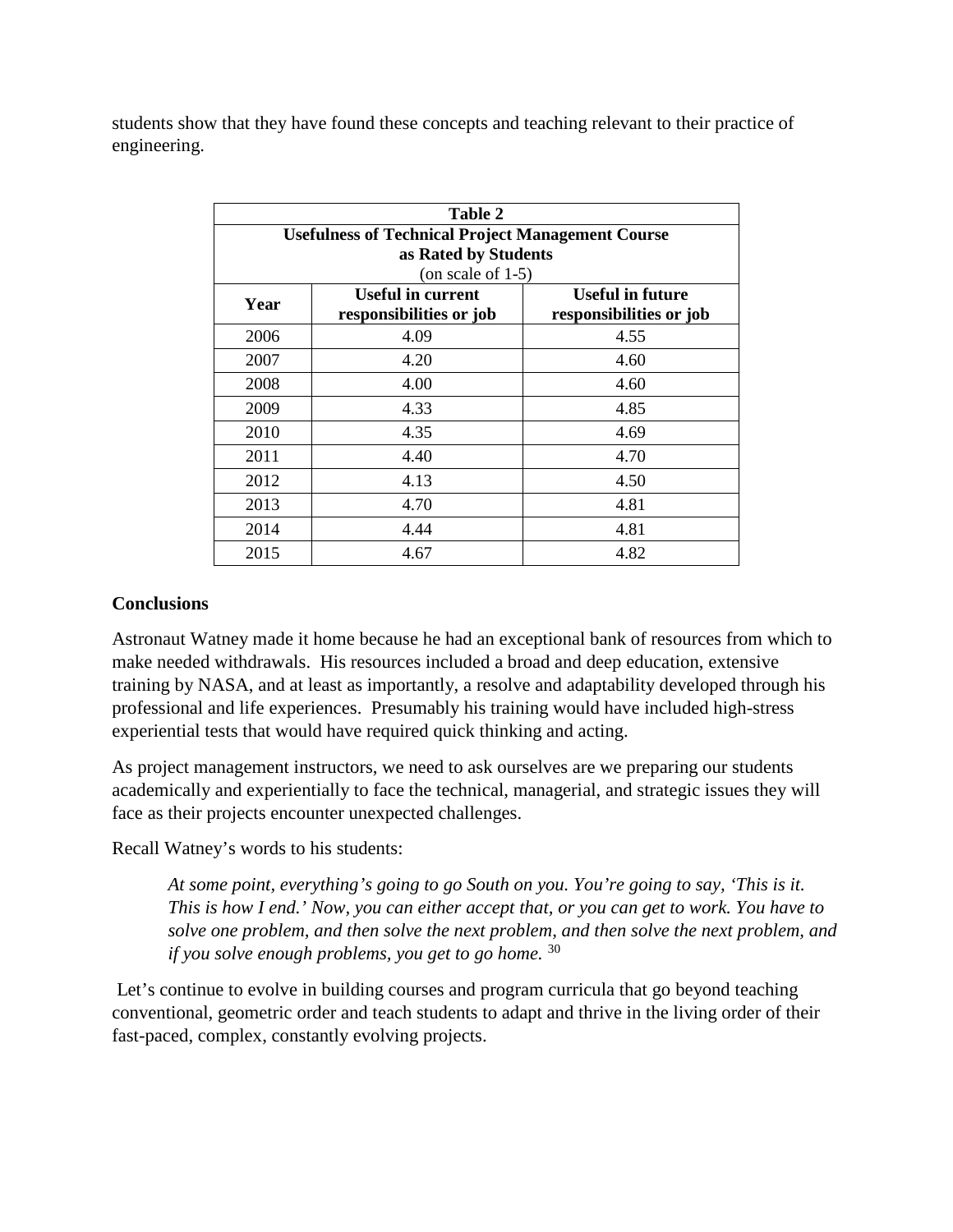students show that they have found these concepts and teaching relevant to their practice of engineering.

| Table 2                                                  |                                                     |                                                    |
|----------------------------------------------------------|-----------------------------------------------------|----------------------------------------------------|
| <b>Usefulness of Technical Project Management Course</b> |                                                     |                                                    |
| as Rated by Students                                     |                                                     |                                                    |
| (on scale of $1-5$ )                                     |                                                     |                                                    |
| Year                                                     | <b>Useful in current</b><br>responsibilities or job | <b>Useful in future</b><br>responsibilities or job |
| 2006                                                     | 4.09                                                | 4.55                                               |
| 2007                                                     | 4.20                                                | 4.60                                               |
| 2008                                                     | 4.00                                                | 4.60                                               |
| 2009                                                     | 4.33                                                | 4.85                                               |
| 2010                                                     | 4.35                                                | 4.69                                               |
| 2011                                                     | 4.40                                                | 4.70                                               |
| 2012                                                     | 4.13                                                | 4.50                                               |
| 2013                                                     | 4.70                                                | 4.81                                               |
| 2014                                                     | 4.44                                                | 4.81                                               |
| 2015                                                     | 4.67                                                | 4.82                                               |

### **Conclusions**

Astronaut Watney made it home because he had an exceptional bank of resources from which to make needed withdrawals. His resources included a broad and deep education, extensive training by NASA, and at least as importantly, a resolve and adaptability developed through his professional and life experiences. Presumably his training would have included high-stress experiential tests that would have required quick thinking and acting.

As project management instructors, we need to ask ourselves are we preparing our students academically and experientially to face the technical, managerial, and strategic issues they will face as their projects encounter unexpected challenges.

Recall Watney's words to his students:

*At some point, everything's going to go South on you. You're going to say, 'This is it. This is how I end.' Now, you can either accept that, or you can get to work. You have to solve one problem, and then solve the next problem, and then solve the next problem, and if you solve enough problems, you get to go home.* <sup>30</sup>

Let's continue to evolve in building courses and program curricula that go beyond teaching conventional, geometric order and teach students to adapt and thrive in the living order of their fast-paced, complex, constantly evolving projects.